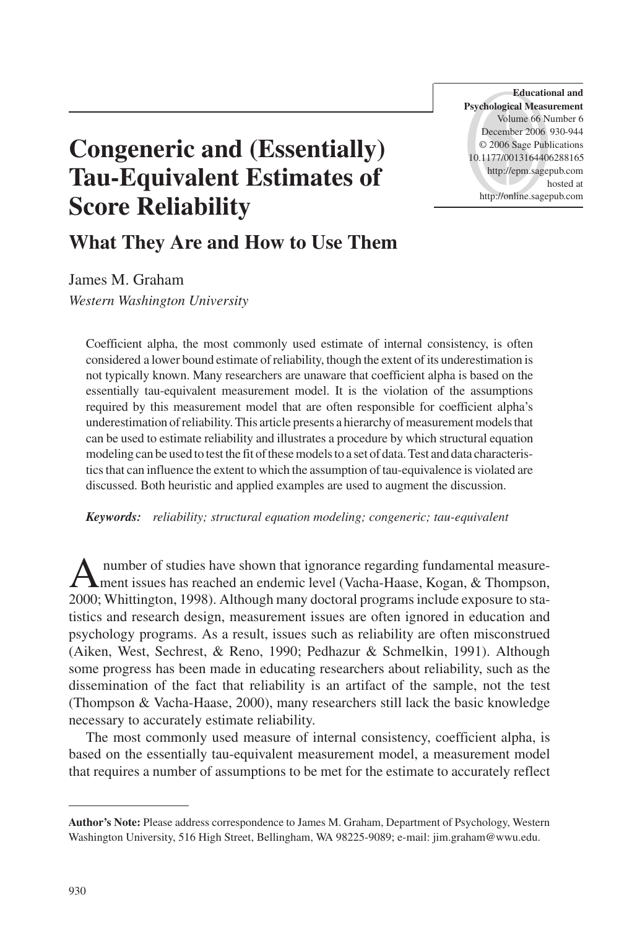**Educational and Psychological Measurement** Volume 66 Number 6 December 2006 930-944 © 2006 Sage Publications 10.1177/0013164406288165 http://epm.sagepub.com hosted at http://online.sagepub.com

# **Congeneric and (Essentially) Tau-Equivalent Estimates of Score Reliability**

# **What They Are and How to Use Them**

James M. Graham *Western Washington University*

Coefficient alpha, the most commonly used estimate of internal consistency, is often considered a lower bound estimate of reliability, though the extent of its underestimation is not typically known. Many researchers are unaware that coefficient alpha is based on the essentially tau-equivalent measurement model. It is the violation of the assumptions required by this measurement model that are often responsible for coefficient alpha's underestimation of reliability. This article presents a hierarchy of measurement models that can be used to estimate reliability and illustrates a procedure by which structural equation modeling can be used to test the fit of these models to a set of data. Test and data characteristics that can influence the extent to which the assumption of tau-equivalence is violated are discussed. Both heuristic and applied examples are used to augment the discussion.

*Keywords: reliability; structural equation modeling; congeneric; tau-equivalent*

Anumber of studies have shown that ignorance regarding fundamental measure-<br>ment issues has reached an endemic level (Vacha-Haase, Kogan, & Thompson, 2000; Whittington, 1998). Although many doctoral programs include exposure to statistics and research design, measurement issues are often ignored in education and psychology programs. As a result, issues such as reliability are often misconstrued (Aiken, West, Sechrest, & Reno, 1990; Pedhazur & Schmelkin, 1991). Although some progress has been made in educating researchers about reliability, such as the dissemination of the fact that reliability is an artifact of the sample, not the test (Thompson & Vacha-Haase, 2000), many researchers still lack the basic knowledge necessary to accurately estimate reliability.

The most commonly used measure of internal consistency, coefficient alpha, is based on the essentially tau-equivalent measurement model, a measurement model that requires a number of assumptions to be met for the estimate to accurately reflect

**Author's Note:** Please address correspondence to James M. Graham, Department of Psychology, Western Washington University, 516 High Street, Bellingham, WA 98225-9089; e-mail: jim.graham@wwu.edu.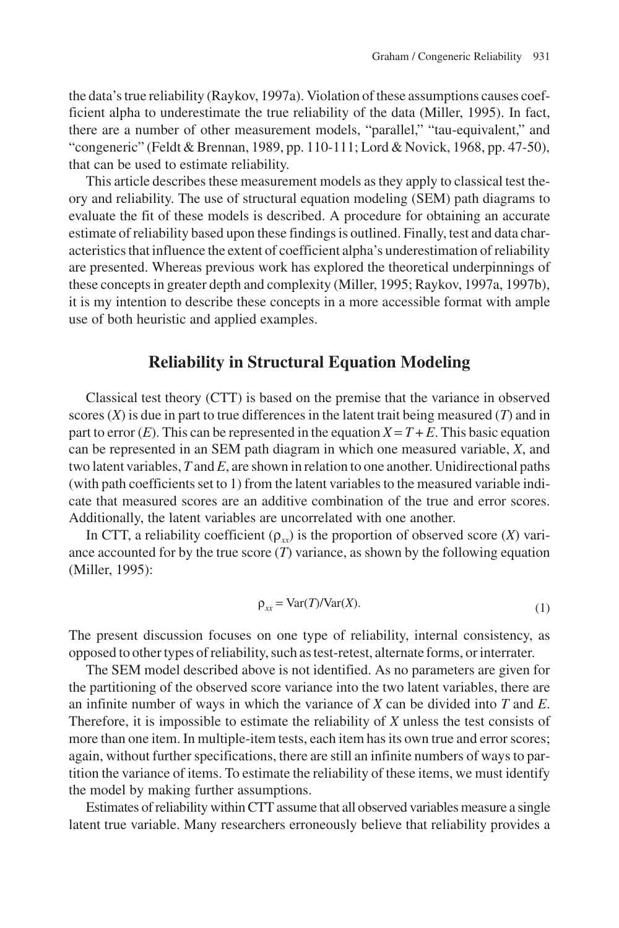the data's true reliability (Raykov, 1997a). Violation of these assumptions causes coefficient alpha to underestimate the true reliability of the data (Miller, 1995). In fact, there are a number of other measurement models, "parallel," "tau-equivalent," and "congeneric" (Feldt & Brennan, 1989, pp. 110-111; Lord & Novick, 1968, pp. 47-50), that can be used to estimate reliability.

This article describes these measurement models as they apply to classical test theory and reliability. The use of structural equation modeling (SEM) path diagrams to evaluate the fit of these models is described. A procedure for obtaining an accurate estimate of reliability based upon these findings is outlined. Finally, test and data characteristics that influence the extent of coefficient alpha's underestimation of reliability are presented. Whereas previous work has explored the theoretical underpinnings of these concepts in greater depth and complexity (Miller, 1995; Raykov, 1997a, 1997b), it is my intention to describe these concepts in a more accessible format with ample use of both heuristic and applied examples.

## **Reliability in Structural Equation Modeling**

Classical test theory (CTT) is based on the premise that the variance in observed scores (*X*) is due in part to true differences in the latent trait being measured (*T*) and in part to error  $(E)$ . This can be represented in the equation  $X = T + E$ . This basic equation can be represented in an SEM path diagram in which one measured variable, *X*, and two latent variables, *T* and *E*, are shown in relation to one another. Unidirectional paths (with path coefficients set to 1) from the latent variables to the measured variable indicate that measured scores are an additive combination of the true and error scores. Additionally, the latent variables are uncorrelated with one another.

In CTT, a reliability coefficient  $(\rho_{xx})$  is the proportion of observed score (*X*) variance accounted for by the true score  $(T)$  variance, as shown by the following equation (Miller, 1995):

$$
\rho_{xx} = \text{Var}(T)/\text{Var}(X). \tag{1}
$$

The present discussion focuses on one type of reliability, internal consistency, as opposed to other types of reliability, such as test-retest, alternate forms, or interrater.

The SEM model described above is not identified. As no parameters are given for the partitioning of the observed score variance into the two latent variables, there are an infinite number of ways in which the variance of *X* can be divided into *T* and *E*. Therefore, it is impossible to estimate the reliability of *X* unless the test consists of more than one item. In multiple-item tests, each item has its own true and error scores; again, without further specifications, there are still an infinite numbers of ways to partition the variance of items. To estimate the reliability of these items, we must identify the model by making further assumptions.

Estimates of reliability within CTT assume that all observed variables measure a single latent true variable. Many researchers erroneously believe that reliability provides a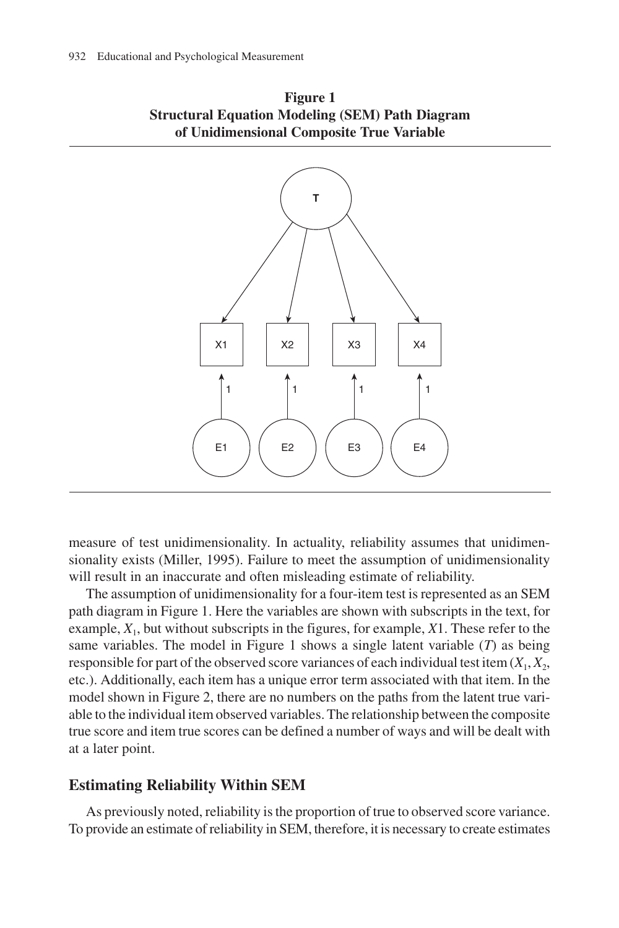



measure of test unidimensionality. In actuality, reliability assumes that unidimensionality exists (Miller, 1995). Failure to meet the assumption of unidimensionality will result in an inaccurate and often misleading estimate of reliability.

The assumption of unidimensionality for a four-item test is represented as an SEM path diagram in Figure 1. Here the variables are shown with subscripts in the text, for example, *X*1, but without subscripts in the figures, for example, *X*1. These refer to the same variables. The model in Figure 1 shows a single latent variable (*T*) as being responsible for part of the observed score variances of each individual test item  $(X_1, X_2, \ldots, X_n)$ etc.). Additionally, each item has a unique error term associated with that item. In the model shown in Figure 2, there are no numbers on the paths from the latent true variable to the individual item observed variables. The relationship between the composite true score and item true scores can be defined a number of ways and will be dealt with at a later point.

#### **Estimating Reliability Within SEM**

As previously noted, reliability is the proportion of true to observed score variance. To provide an estimate of reliability in SEM, therefore, it is necessary to create estimates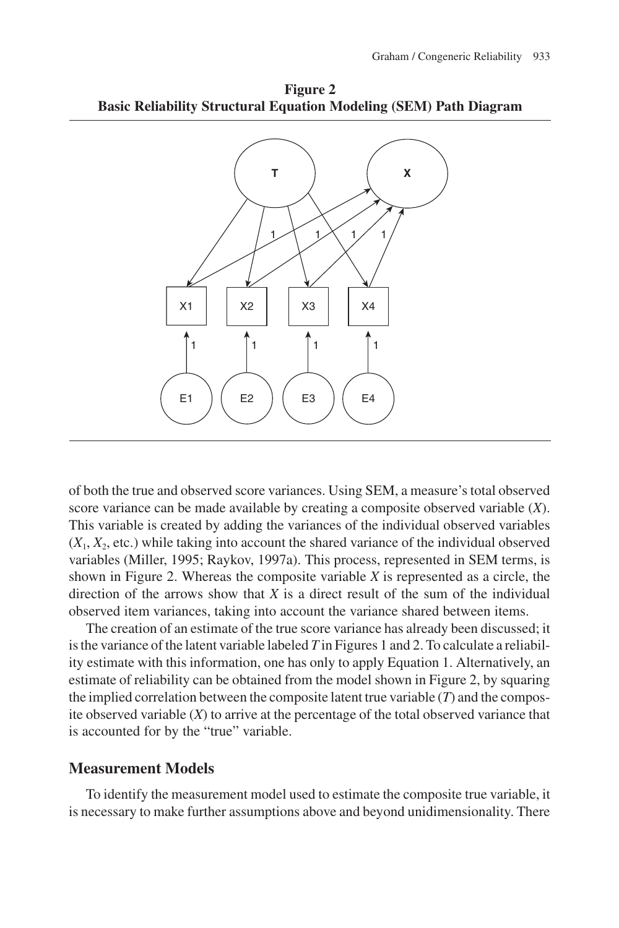**Figure 2 Basic Reliability Structural Equation Modeling (SEM) Path Diagram**



of both the true and observed score variances. Using SEM, a measure's total observed score variance can be made available by creating a composite observed variable (*X*). This variable is created by adding the variances of the individual observed variables  $(X_1, X_2, \text{ etc.})$  while taking into account the shared variance of the individual observed variables (Miller, 1995; Raykov, 1997a). This process, represented in SEM terms, is shown in Figure 2. Whereas the composite variable *X* is represented as a circle, the direction of the arrows show that *X* is a direct result of the sum of the individual observed item variances, taking into account the variance shared between items.

The creation of an estimate of the true score variance has already been discussed; it is the variance of the latent variable labeled *T* in Figures 1 and 2. To calculate a reliability estimate with this information, one has only to apply Equation 1. Alternatively, an estimate of reliability can be obtained from the model shown in Figure 2, by squaring the implied correlation between the composite latent true variable (*T*) and the composite observed variable (*X*) to arrive at the percentage of the total observed variance that is accounted for by the "true" variable.

#### **Measurement Models**

To identify the measurement model used to estimate the composite true variable, it is necessary to make further assumptions above and beyond unidimensionality. There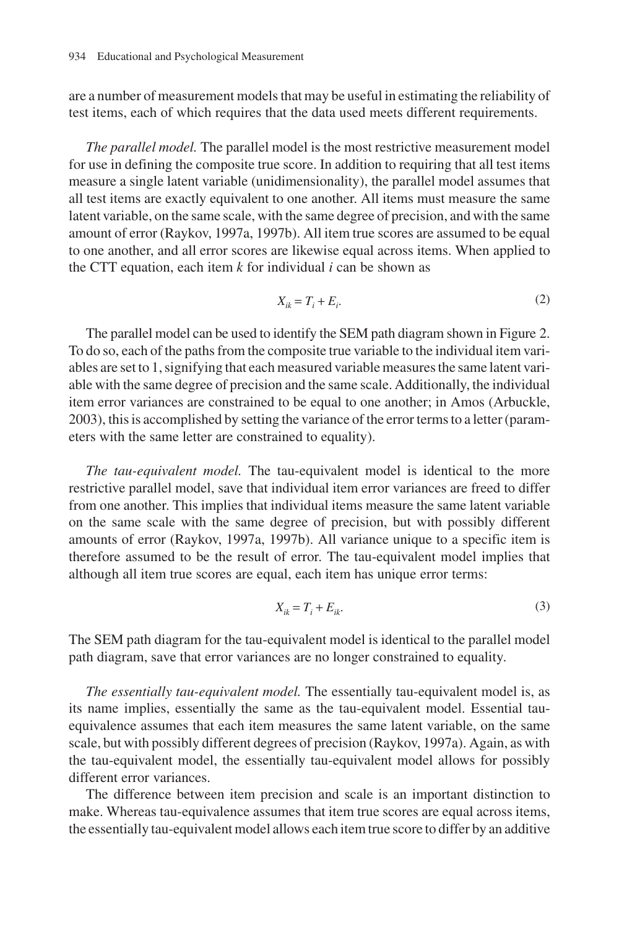are a number of measurement models that may be useful in estimating the reliability of test items, each of which requires that the data used meets different requirements.

*The parallel model.* The parallel model is the most restrictive measurement model for use in defining the composite true score. In addition to requiring that all test items measure a single latent variable (unidimensionality), the parallel model assumes that all test items are exactly equivalent to one another. All items must measure the same latent variable, on the same scale, with the same degree of precision, and with the same amount of error (Raykov, 1997a, 1997b). All item true scores are assumed to be equal to one another, and all error scores are likewise equal across items. When applied to the CTT equation, each item *k* for individual *i* can be shown as

$$
X_{ik} = T_i + E_i.
$$
 (2)

The parallel model can be used to identify the SEM path diagram shown in Figure 2. To do so, each of the paths from the composite true variable to the individual item variables are set to 1, signifying that each measured variable measures the same latent variable with the same degree of precision and the same scale. Additionally, the individual item error variances are constrained to be equal to one another; in Amos (Arbuckle, 2003), this is accomplished by setting the variance of the error terms to a letter (parameters with the same letter are constrained to equality).

*The tau-equivalent model.* The tau-equivalent model is identical to the more restrictive parallel model, save that individual item error variances are freed to differ from one another. This implies that individual items measure the same latent variable on the same scale with the same degree of precision, but with possibly different amounts of error (Raykov, 1997a, 1997b). All variance unique to a specific item is therefore assumed to be the result of error. The tau-equivalent model implies that although all item true scores are equal, each item has unique error terms:

$$
X_{ik} = T_i + E_{ik}.\tag{3}
$$

The SEM path diagram for the tau-equivalent model is identical to the parallel model path diagram, save that error variances are no longer constrained to equality.

*The essentially tau-equivalent model.* The essentially tau-equivalent model is, as its name implies, essentially the same as the tau-equivalent model. Essential tauequivalence assumes that each item measures the same latent variable, on the same scale, but with possibly different degrees of precision (Raykov, 1997a). Again, as with the tau-equivalent model, the essentially tau-equivalent model allows for possibly different error variances.

The difference between item precision and scale is an important distinction to make. Whereas tau-equivalence assumes that item true scores are equal across items, the essentially tau-equivalent model allows each item true score to differ by an additive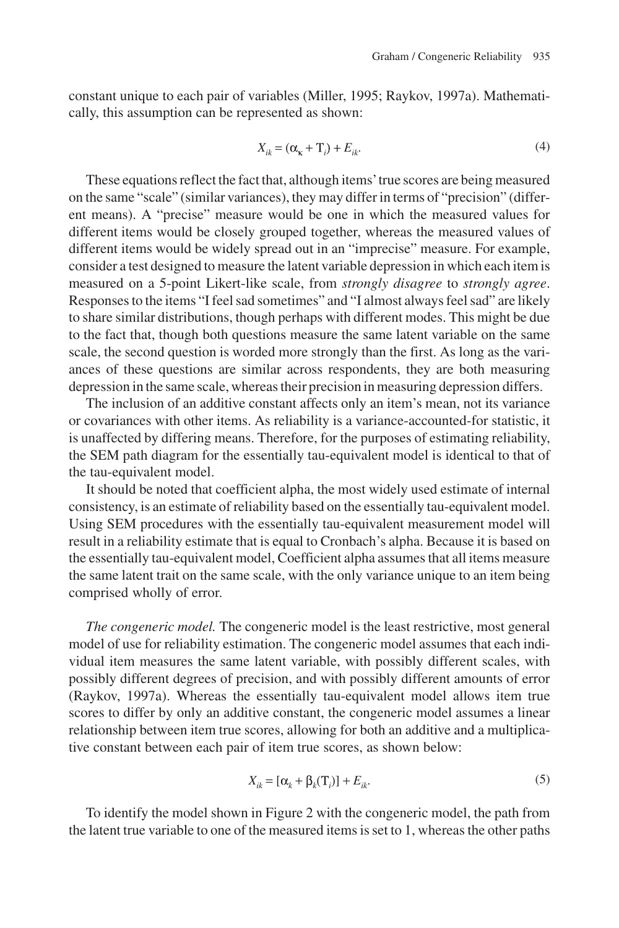constant unique to each pair of variables (Miller, 1995; Raykov, 1997a). Mathematically, this assumption can be represented as shown:

$$
X_{ik} = (\alpha_{\kappa} + \mathbf{T}_i) + E_{ik}.
$$
\n<sup>(4)</sup>

These equations reflect the fact that, although items'true scores are being measured on the same "scale" (similar variances), they may differ in terms of "precision" (different means). A "precise" measure would be one in which the measured values for different items would be closely grouped together, whereas the measured values of different items would be widely spread out in an "imprecise" measure. For example, consider a test designed to measure the latent variable depression in which each item is measured on a 5-point Likert-like scale, from *strongly disagree* to *strongly agree*. Responses to the items "I feel sad sometimes" and "I almost always feel sad" are likely to share similar distributions, though perhaps with different modes. This might be due to the fact that, though both questions measure the same latent variable on the same scale, the second question is worded more strongly than the first. As long as the variances of these questions are similar across respondents, they are both measuring depression in the same scale, whereas their precision in measuring depression differs.

The inclusion of an additive constant affects only an item's mean, not its variance or covariances with other items. As reliability is a variance-accounted-for statistic, it is unaffected by differing means. Therefore, for the purposes of estimating reliability, the SEM path diagram for the essentially tau-equivalent model is identical to that of the tau-equivalent model.

It should be noted that coefficient alpha, the most widely used estimate of internal consistency, is an estimate of reliability based on the essentially tau-equivalent model. Using SEM procedures with the essentially tau-equivalent measurement model will result in a reliability estimate that is equal to Cronbach's alpha. Because it is based on the essentially tau-equivalent model, Coefficient alpha assumes that all items measure the same latent trait on the same scale, with the only variance unique to an item being comprised wholly of error.

*The congeneric model.* The congeneric model is the least restrictive, most general model of use for reliability estimation. The congeneric model assumes that each individual item measures the same latent variable, with possibly different scales, with possibly different degrees of precision, and with possibly different amounts of error (Raykov, 1997a). Whereas the essentially tau-equivalent model allows item true scores to differ by only an additive constant, the congeneric model assumes a linear relationship between item true scores, allowing for both an additive and a multiplicative constant between each pair of item true scores, as shown below:

$$
X_{ik} = [\alpha_k + \beta_k(\mathbf{T}_i)] + E_{ik}.
$$
\n<sup>(5)</sup>

To identify the model shown in Figure 2 with the congeneric model, the path from the latent true variable to one of the measured items is set to 1, whereas the other paths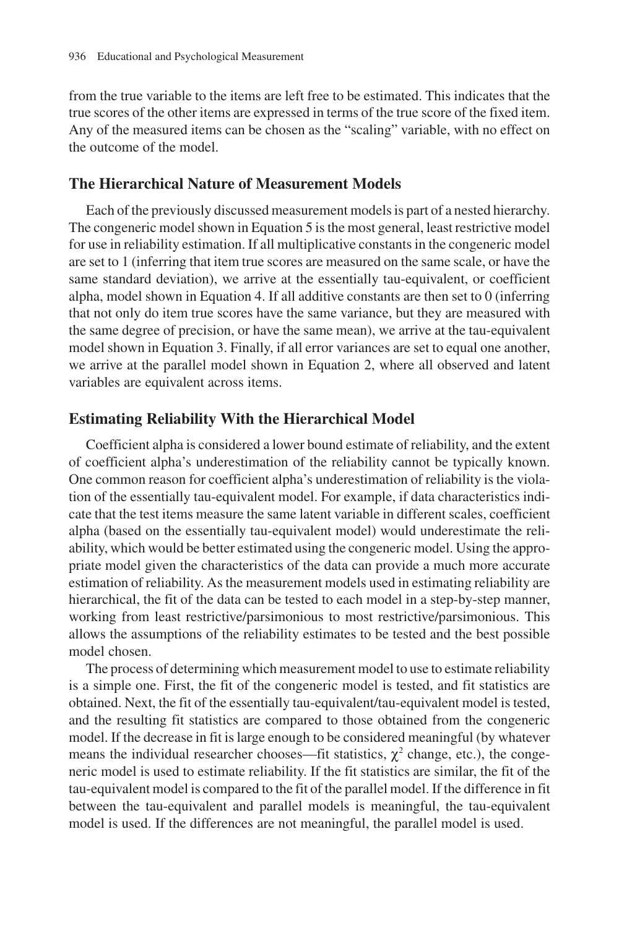from the true variable to the items are left free to be estimated. This indicates that the true scores of the other items are expressed in terms of the true score of the fixed item. Any of the measured items can be chosen as the "scaling" variable, with no effect on the outcome of the model.

#### **The Hierarchical Nature of Measurement Models**

Each of the previously discussed measurement models is part of a nested hierarchy. The congeneric model shown in Equation 5 is the most general, least restrictive model for use in reliability estimation. If all multiplicative constants in the congeneric model are set to 1 (inferring that item true scores are measured on the same scale, or have the same standard deviation), we arrive at the essentially tau-equivalent, or coefficient alpha, model shown in Equation 4. If all additive constants are then set to 0 (inferring that not only do item true scores have the same variance, but they are measured with the same degree of precision, or have the same mean), we arrive at the tau-equivalent model shown in Equation 3. Finally, if all error variances are set to equal one another, we arrive at the parallel model shown in Equation 2, where all observed and latent variables are equivalent across items.

#### **Estimating Reliability With the Hierarchical Model**

Coefficient alpha is considered a lower bound estimate of reliability, and the extent of coefficient alpha's underestimation of the reliability cannot be typically known. One common reason for coefficient alpha's underestimation of reliability is the violation of the essentially tau-equivalent model. For example, if data characteristics indicate that the test items measure the same latent variable in different scales, coefficient alpha (based on the essentially tau-equivalent model) would underestimate the reliability, which would be better estimated using the congeneric model. Using the appropriate model given the characteristics of the data can provide a much more accurate estimation of reliability. As the measurement models used in estimating reliability are hierarchical, the fit of the data can be tested to each model in a step-by-step manner, working from least restrictive/parsimonious to most restrictive/parsimonious. This allows the assumptions of the reliability estimates to be tested and the best possible model chosen.

The process of determining which measurement model to use to estimate reliability is a simple one. First, the fit of the congeneric model is tested, and fit statistics are obtained. Next, the fit of the essentially tau-equivalent/tau-equivalent model is tested, and the resulting fit statistics are compared to those obtained from the congeneric model. If the decrease in fit is large enough to be considered meaningful (by whatever means the individual researcher chooses—fit statistics,  $\chi^2$  change, etc.), the congeneric model is used to estimate reliability. If the fit statistics are similar, the fit of the tau-equivalent model is compared to the fit of the parallel model. If the difference in fit between the tau-equivalent and parallel models is meaningful, the tau-equivalent model is used. If the differences are not meaningful, the parallel model is used.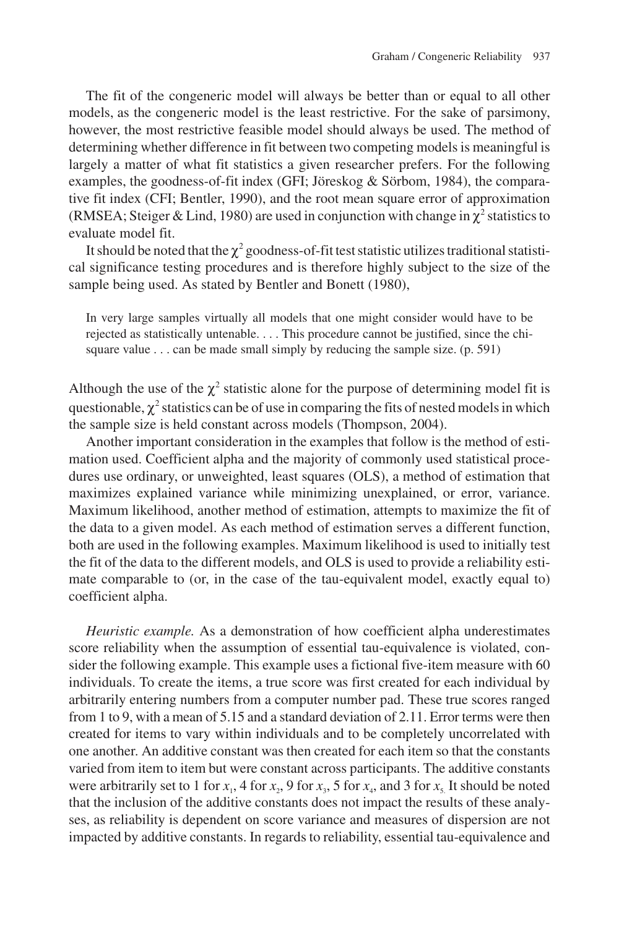The fit of the congeneric model will always be better than or equal to all other models, as the congeneric model is the least restrictive. For the sake of parsimony, however, the most restrictive feasible model should always be used. The method of determining whether difference in fit between two competing models is meaningful is largely a matter of what fit statistics a given researcher prefers. For the following examples, the goodness-of-fit index (GFI; Jöreskog & Sörbom, 1984), the comparative fit index (CFI; Bentler, 1990), and the root mean square error of approximation (RMSEA; Steiger & Lind, 1980) are used in conjunction with change in  $\chi^2$  statistics to evaluate model fit.

It should be noted that the  $\chi^2$  goodness-of-fit test statistic utilizes traditional statistical significance testing procedures and is therefore highly subject to the size of the sample being used. As stated by Bentler and Bonett (1980),

In very large samples virtually all models that one might consider would have to be rejected as statistically untenable. . . . This procedure cannot be justified, since the chisquare value  $\dots$  can be made small simply by reducing the sample size. (p. 591)

Although the use of the  $\chi^2$  statistic alone for the purpose of determining model fit is questionable,  $\chi^2$  statistics can be of use in comparing the fits of nested models in which the sample size is held constant across models (Thompson, 2004).

Another important consideration in the examples that follow is the method of estimation used. Coefficient alpha and the majority of commonly used statistical procedures use ordinary, or unweighted, least squares (OLS), a method of estimation that maximizes explained variance while minimizing unexplained, or error, variance. Maximum likelihood, another method of estimation, attempts to maximize the fit of the data to a given model. As each method of estimation serves a different function, both are used in the following examples. Maximum likelihood is used to initially test the fit of the data to the different models, and OLS is used to provide a reliability estimate comparable to (or, in the case of the tau-equivalent model, exactly equal to) coefficient alpha.

*Heuristic example.* As a demonstration of how coefficient alpha underestimates score reliability when the assumption of essential tau-equivalence is violated, consider the following example. This example uses a fictional five-item measure with 60 individuals. To create the items, a true score was first created for each individual by arbitrarily entering numbers from a computer number pad. These true scores ranged from 1 to 9, with a mean of 5.15 and a standard deviation of 2.11. Error terms were then created for items to vary within individuals and to be completely uncorrelated with one another. An additive constant was then created for each item so that the constants varied from item to item but were constant across participants. The additive constants were arbitrarily set to 1 for  $x_1$ , 4 for  $x_2$ , 9 for  $x_3$ , 5 for  $x_4$ , and 3 for  $x_5$ . It should be noted that the inclusion of the additive constants does not impact the results of these analyses, as reliability is dependent on score variance and measures of dispersion are not impacted by additive constants. In regards to reliability, essential tau-equivalence and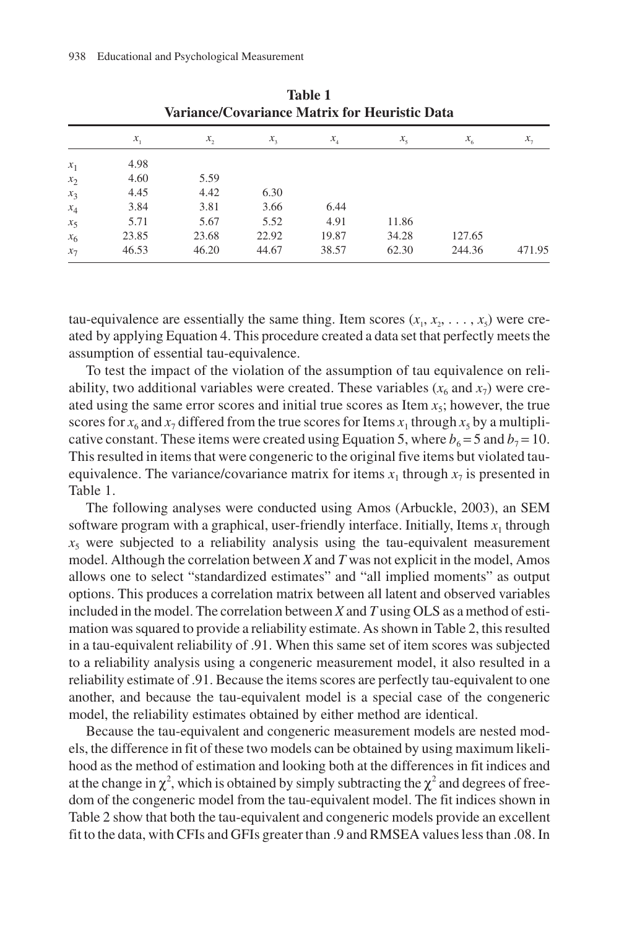|                | Variance/Covariance Matrix for Heuristic Data |       |         |                            |             |         |            |
|----------------|-----------------------------------------------|-------|---------|----------------------------|-------------|---------|------------|
|                | $x_{1}$                                       | x,    | $x_{1}$ | $x_{\scriptscriptstyle A}$ | $x_{\zeta}$ | $x_{6}$ | $x_{\tau}$ |
| $x_1$          | 4.98                                          |       |         |                            |             |         |            |
| $x_2$          | 4.60                                          | 5.59  |         |                            |             |         |            |
| $x_3$          | 4.45                                          | 4.42  | 6.30    |                            |             |         |            |
| $x_4$          | 3.84                                          | 3.81  | 3.66    | 6.44                       |             |         |            |
| $x_{5}$        | 5.71                                          | 5.67  | 5.52    | 4.91                       | 11.86       |         |            |
| x <sub>6</sub> | 23.85                                         | 23.68 | 22.92   | 19.87                      | 34.28       | 127.65  |            |
| $x_7$          | 46.53                                         | 46.20 | 44.67   | 38.57                      | 62.30       | 244.36  | 471.95     |

**Table 1 Variance/Covariance Matrix for Heuristic Data**

tau-equivalence are essentially the same thing. Item scores  $(x_1, x_2, \ldots, x_n)$  were created by applying Equation 4. This procedure created a data set that perfectly meets the assumption of essential tau-equivalence.

To test the impact of the violation of the assumption of tau equivalence on reliability, two additional variables were created. These variables  $(x_6$  and  $x_7)$  were created using the same error scores and initial true scores as Item  $x<sub>5</sub>$ ; however, the true scores for  $x_6$  and  $x_7$  differed from the true scores for Items  $x_1$ , through  $x_5$  by a multiplicative constant. These items were created using Equation 5, where  $b_6 = 5$  and  $b_7 = 10$ . This resulted in items that were congeneric to the original five items but violated tauequivalence. The variance/covariance matrix for items  $x_1$  through  $x_7$  is presented in Table 1.

The following analyses were conducted using Amos (Arbuckle, 2003), an SEM software program with a graphical, user-friendly interface. Initially, Items  $x_1$  through  $x<sub>5</sub>$  were subjected to a reliability analysis using the tau-equivalent measurement model. Although the correlation between *X* and *T* was not explicit in the model, Amos allows one to select "standardized estimates" and "all implied moments" as output options. This produces a correlation matrix between all latent and observed variables included in the model. The correlation between *X* and *T* using OLS as a method of estimation was squared to provide a reliability estimate. As shown in Table 2, this resulted in a tau-equivalent reliability of .91. When this same set of item scores was subjected to a reliability analysis using a congeneric measurement model, it also resulted in a reliability estimate of .91. Because the items scores are perfectly tau-equivalent to one another, and because the tau-equivalent model is a special case of the congeneric model, the reliability estimates obtained by either method are identical.

Because the tau-equivalent and congeneric measurement models are nested models, the difference in fit of these two models can be obtained by using maximum likelihood as the method of estimation and looking both at the differences in fit indices and at the change in  $\chi^2$ , which is obtained by simply subtracting the  $\chi^2$  and degrees of freedom of the congeneric model from the tau-equivalent model. The fit indices shown in Table 2 show that both the tau-equivalent and congeneric models provide an excellent fit to the data, with CFIs and GFIs greater than .9 and RMSEA values less than .08. In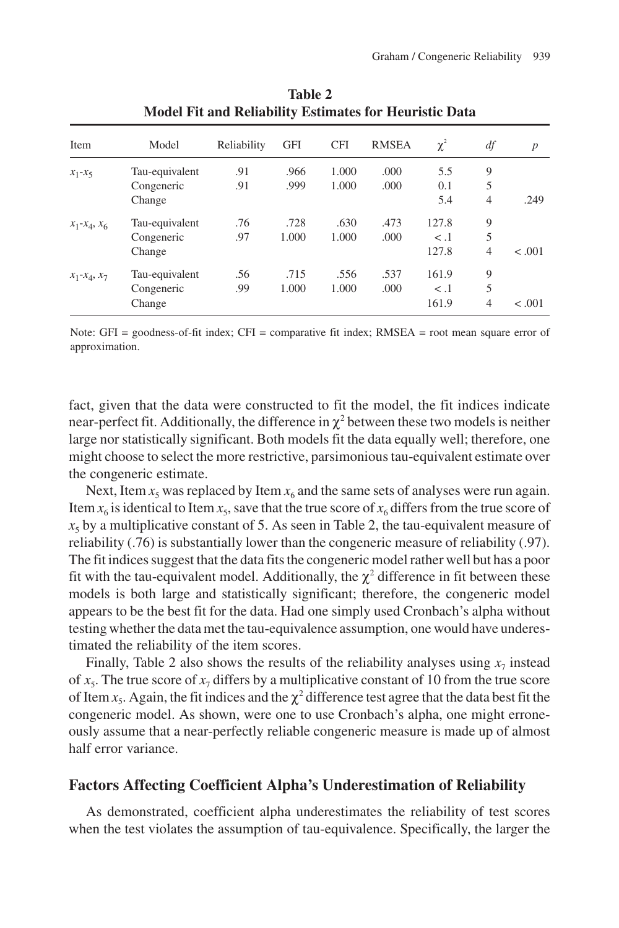| Item             | Model          | Reliability | <b>GFI</b> | <b>CFI</b> | <b>RMSEA</b> | $\chi^2$ | df             | $\boldsymbol{p}$ |
|------------------|----------------|-------------|------------|------------|--------------|----------|----------------|------------------|
| $x_1-x_5$        | Tau-equivalent | .91         | .966       | 1.000      | .000         | 5.5      | 9              |                  |
|                  | Congeneric     | .91         | .999       | 1.000      | .000         | 0.1      | 5              |                  |
|                  | Change         |             |            |            |              | 5.4      | $\overline{4}$ | .249             |
| $x_1 - x_4, x_6$ | Tau-equivalent | .76         | .728       | .630       | .473         | 127.8    | 9              |                  |
|                  | Congeneric     | .97         | 1.000      | 1.000      | .000         | $\lt$ .1 | 5              |                  |
|                  | Change         |             |            |            |              | 127.8    | $\overline{4}$ | $-.001$          |
| $x_1 - x_4, x_7$ | Tau-equivalent | .56         | .715       | .556       | .537         | 161.9    | 9              |                  |
|                  | Congeneric     | .99         | 1.000      | 1.000      | .000         | $\lt$ .1 | 5              |                  |
|                  | Change         |             |            |            |              | 161.9    | $\overline{4}$ | $-.001$          |

**Table 2 Model Fit and Reliability Estimates for Heuristic Data**

Note: GFI = goodness-of-fit index; CFI = comparative fit index; RMSEA = root mean square error of approximation.

fact, given that the data were constructed to fit the model, the fit indices indicate near-perfect fit. Additionally, the difference in  $\chi^2$  between these two models is neither large nor statistically significant. Both models fit the data equally well; therefore, one might choose to select the more restrictive, parsimonious tau-equivalent estimate over the congeneric estimate.

Next, Item  $x_5$  was replaced by Item  $x_6$  and the same sets of analyses were run again. Item  $x_6$  is identical to Item  $x_5$ , save that the true score of  $x_6$  differs from the true score of  $x<sub>5</sub>$  by a multiplicative constant of 5. As seen in Table 2, the tau-equivalent measure of reliability (.76) is substantially lower than the congeneric measure of reliability (.97). The fit indices suggest that the data fits the congeneric model rather well but has a poor fit with the tau-equivalent model. Additionally, the  $\gamma^2$  difference in fit between these models is both large and statistically significant; therefore, the congeneric model appears to be the best fit for the data. Had one simply used Cronbach's alpha without testing whether the data met the tau-equivalence assumption, one would have underestimated the reliability of the item scores.

Finally, Table 2 also shows the results of the reliability analyses using  $x_7$  instead of  $x_5$ . The true score of  $x_7$  differs by a multiplicative constant of 10 from the true score of Item  $x_5$ . Again, the fit indices and the  $\chi^2$  difference test agree that the data best fit the congeneric model. As shown, were one to use Cronbach's alpha, one might erroneously assume that a near-perfectly reliable congeneric measure is made up of almost half error variance.

#### **Factors Affecting Coefficient Alpha's Underestimation of Reliability**

As demonstrated, coefficient alpha underestimates the reliability of test scores when the test violates the assumption of tau-equivalence. Specifically, the larger the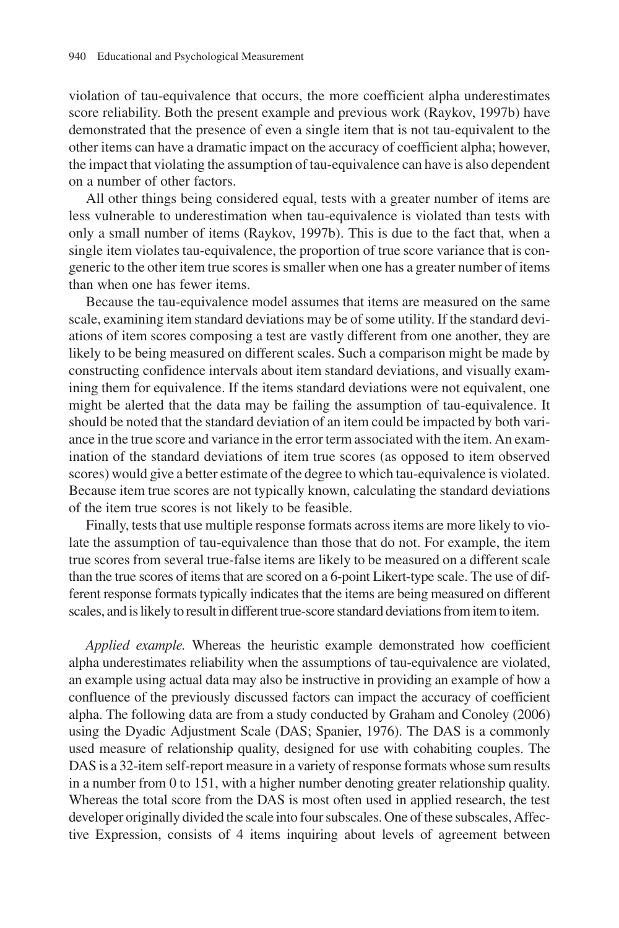violation of tau-equivalence that occurs, the more coefficient alpha underestimates score reliability. Both the present example and previous work (Raykov, 1997b) have demonstrated that the presence of even a single item that is not tau-equivalent to the other items can have a dramatic impact on the accuracy of coefficient alpha; however, the impact that violating the assumption of tau-equivalence can have is also dependent on a number of other factors.

All other things being considered equal, tests with a greater number of items are less vulnerable to underestimation when tau-equivalence is violated than tests with only a small number of items (Raykov, 1997b). This is due to the fact that, when a single item violates tau-equivalence, the proportion of true score variance that is congeneric to the other item true scores is smaller when one has a greater number of items than when one has fewer items.

Because the tau-equivalence model assumes that items are measured on the same scale, examining item standard deviations may be of some utility. If the standard deviations of item scores composing a test are vastly different from one another, they are likely to be being measured on different scales. Such a comparison might be made by constructing confidence intervals about item standard deviations, and visually examining them for equivalence. If the items standard deviations were not equivalent, one might be alerted that the data may be failing the assumption of tau-equivalence. It should be noted that the standard deviation of an item could be impacted by both variance in the true score and variance in the error term associated with the item. An examination of the standard deviations of item true scores (as opposed to item observed scores) would give a better estimate of the degree to which tau-equivalence is violated. Because item true scores are not typically known, calculating the standard deviations of the item true scores is not likely to be feasible.

Finally, tests that use multiple response formats across items are more likely to violate the assumption of tau-equivalence than those that do not. For example, the item true scores from several true-false items are likely to be measured on a different scale than the true scores of items that are scored on a 6-point Likert-type scale. The use of different response formats typically indicates that the items are being measured on different scales, and is likely to result in different true-score standard deviations from item to item.

*Applied example.* Whereas the heuristic example demonstrated how coefficient alpha underestimates reliability when the assumptions of tau-equivalence are violated, an example using actual data may also be instructive in providing an example of how a confluence of the previously discussed factors can impact the accuracy of coefficient alpha. The following data are from a study conducted by Graham and Conoley (2006) using the Dyadic Adjustment Scale (DAS; Spanier, 1976). The DAS is a commonly used measure of relationship quality, designed for use with cohabiting couples. The DAS is a 32-item self-report measure in a variety of response formats whose sum results in a number from 0 to 151, with a higher number denoting greater relationship quality. Whereas the total score from the DAS is most often used in applied research, the test developer originally divided the scale into four subscales. One of these subscales, Affective Expression, consists of 4 items inquiring about levels of agreement between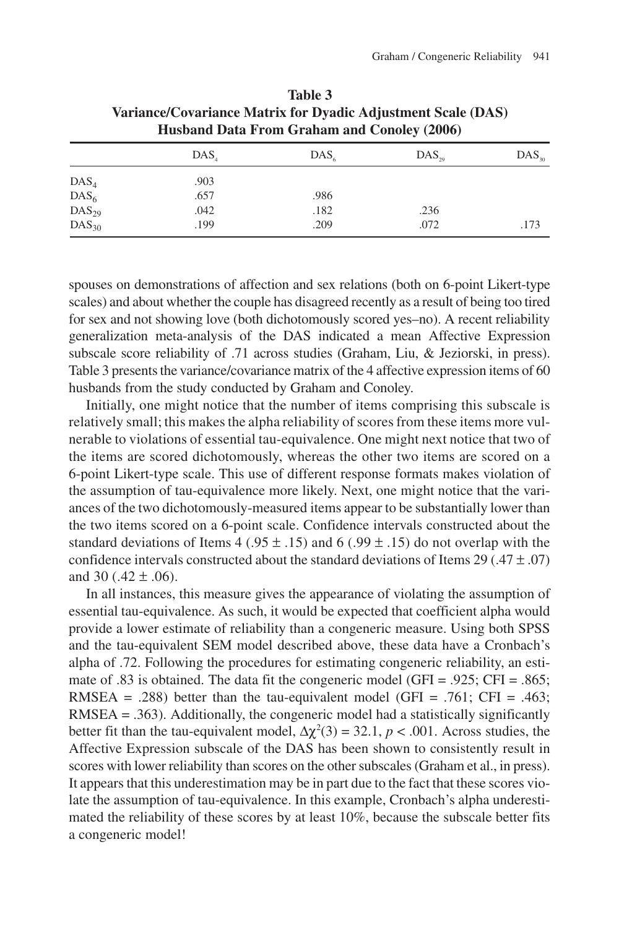|                  | variance/Covariance Matrix for Dyadic Adjustment Scale (DAS)<br>Husband Data From Graham and Conoley (2006) |                  |            |                |  |
|------------------|-------------------------------------------------------------------------------------------------------------|------------------|------------|----------------|--|
|                  | DAS.                                                                                                        | DAS <sub>c</sub> | $DAS_{20}$ | $\rm DAS_{30}$ |  |
| $\text{DAS}_4$   | .903                                                                                                        |                  |            |                |  |
| DAS <sub>6</sub> | .657                                                                                                        | .986             |            |                |  |
| $DAS_{29}$       | .042                                                                                                        | .182             | .236       |                |  |
| $DAS_{30}$       | .199                                                                                                        | .209             | .072       | .173           |  |

| Table 3                                                      |
|--------------------------------------------------------------|
| Variance/Covariance Matrix for Dyadic Adjustment Scale (DAS) |
| <b>Husband Data From Graham and Conoley (2006)</b>           |

spouses on demonstrations of affection and sex relations (both on 6-point Likert-type scales) and about whether the couple has disagreed recently as a result of being too tired for sex and not showing love (both dichotomously scored yes–no). A recent reliability generalization meta-analysis of the DAS indicated a mean Affective Expression subscale score reliability of .71 across studies (Graham, Liu, & Jeziorski, in press). Table 3 presents the variance/covariance matrix of the 4 affective expression items of 60 husbands from the study conducted by Graham and Conoley.

Initially, one might notice that the number of items comprising this subscale is relatively small; this makes the alpha reliability of scores from these items more vulnerable to violations of essential tau-equivalence. One might next notice that two of the items are scored dichotomously, whereas the other two items are scored on a 6-point Likert-type scale. This use of different response formats makes violation of the assumption of tau-equivalence more likely. Next, one might notice that the variances of the two dichotomously-measured items appear to be substantially lower than the two items scored on a 6-point scale. Confidence intervals constructed about the standard deviations of Items 4 (.95  $\pm$  .15) and 6 (.99  $\pm$  .15) do not overlap with the confidence intervals constructed about the standard deviations of Items 29 (.47  $\pm$  .07) and 30 (.42  $\pm$  .06).

In all instances, this measure gives the appearance of violating the assumption of essential tau-equivalence. As such, it would be expected that coefficient alpha would provide a lower estimate of reliability than a congeneric measure. Using both SPSS and the tau-equivalent SEM model described above, these data have a Cronbach's alpha of .72. Following the procedures for estimating congeneric reliability, an estimate of .83 is obtained. The data fit the congeneric model (GFI = .925; CFI = .865; RMSEA = .288) better than the tau-equivalent model (GFI = .761; CFI = .463; RMSEA = .363). Additionally, the congeneric model had a statistically significantly better fit than the tau-equivalent model,  $\Delta \chi^2(3) = 32.1$ ,  $p < .001$ . Across studies, the Affective Expression subscale of the DAS has been shown to consistently result in scores with lower reliability than scores on the other subscales (Graham et al., in press). It appears that this underestimation may be in part due to the fact that these scores violate the assumption of tau-equivalence. In this example, Cronbach's alpha underestimated the reliability of these scores by at least 10%, because the subscale better fits a congeneric model!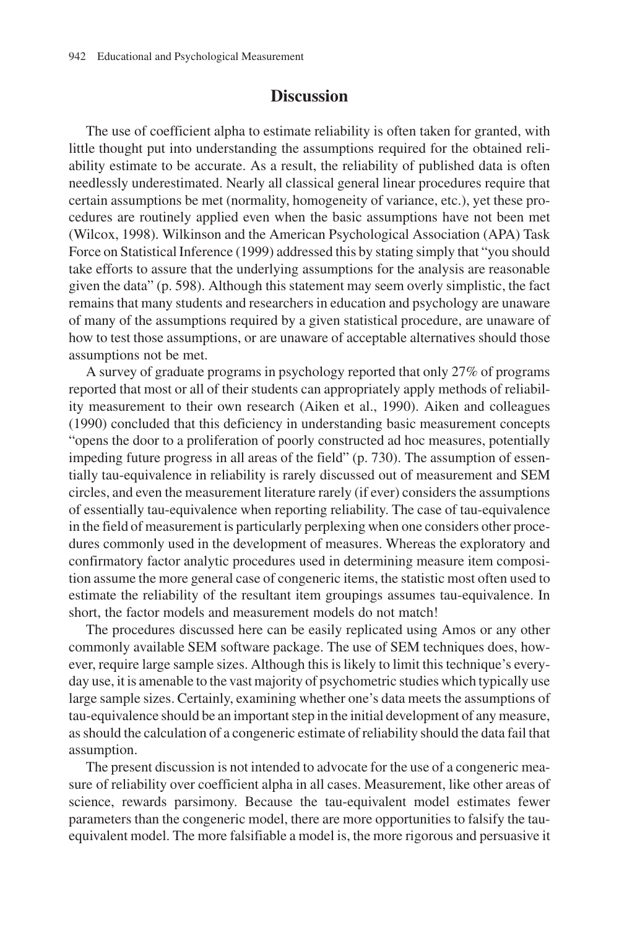## **Discussion**

The use of coefficient alpha to estimate reliability is often taken for granted, with little thought put into understanding the assumptions required for the obtained reliability estimate to be accurate. As a result, the reliability of published data is often needlessly underestimated. Nearly all classical general linear procedures require that certain assumptions be met (normality, homogeneity of variance, etc.), yet these procedures are routinely applied even when the basic assumptions have not been met (Wilcox, 1998). Wilkinson and the American Psychological Association (APA) Task Force on Statistical Inference (1999) addressed this by stating simply that "you should take efforts to assure that the underlying assumptions for the analysis are reasonable given the data" (p. 598). Although this statement may seem overly simplistic, the fact remains that many students and researchers in education and psychology are unaware of many of the assumptions required by a given statistical procedure, are unaware of how to test those assumptions, or are unaware of acceptable alternatives should those assumptions not be met.

A survey of graduate programs in psychology reported that only 27% of programs reported that most or all of their students can appropriately apply methods of reliability measurement to their own research (Aiken et al., 1990). Aiken and colleagues (1990) concluded that this deficiency in understanding basic measurement concepts "opens the door to a proliferation of poorly constructed ad hoc measures, potentially impeding future progress in all areas of the field" (p. 730). The assumption of essentially tau-equivalence in reliability is rarely discussed out of measurement and SEM circles, and even the measurement literature rarely (if ever) considers the assumptions of essentially tau-equivalence when reporting reliability. The case of tau-equivalence in the field of measurement is particularly perplexing when one considers other procedures commonly used in the development of measures. Whereas the exploratory and confirmatory factor analytic procedures used in determining measure item composition assume the more general case of congeneric items, the statistic most often used to estimate the reliability of the resultant item groupings assumes tau-equivalence. In short, the factor models and measurement models do not match!

The procedures discussed here can be easily replicated using Amos or any other commonly available SEM software package. The use of SEM techniques does, however, require large sample sizes. Although this is likely to limit this technique's everyday use, it is amenable to the vast majority of psychometric studies which typically use large sample sizes. Certainly, examining whether one's data meets the assumptions of tau-equivalence should be an important step in the initial development of any measure, as should the calculation of a congeneric estimate of reliability should the data fail that assumption.

The present discussion is not intended to advocate for the use of a congeneric measure of reliability over coefficient alpha in all cases. Measurement, like other areas of science, rewards parsimony. Because the tau-equivalent model estimates fewer parameters than the congeneric model, there are more opportunities to falsify the tauequivalent model. The more falsifiable a model is, the more rigorous and persuasive it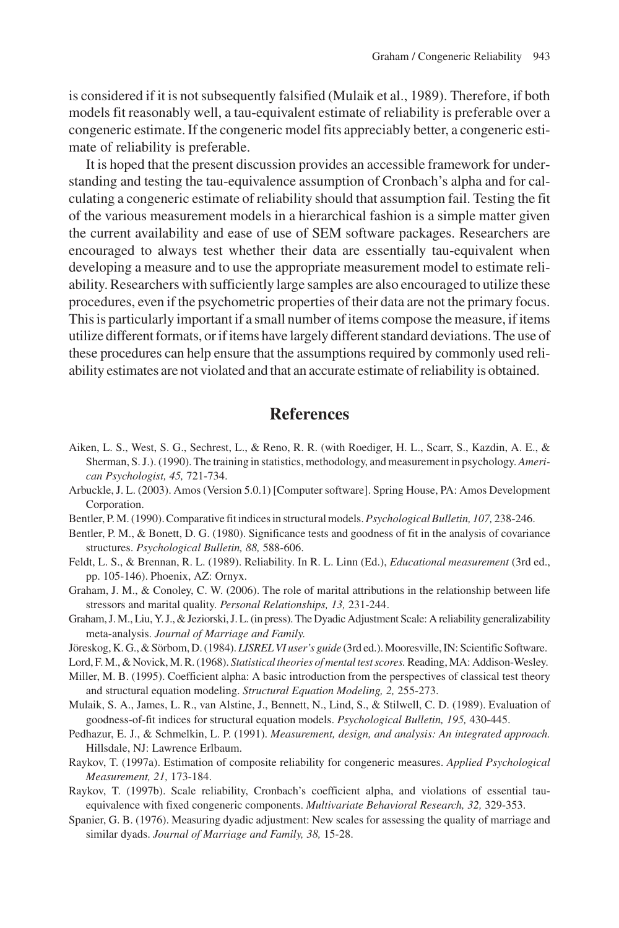is considered if it is not subsequently falsified (Mulaik et al., 1989). Therefore, if both models fit reasonably well, a tau-equivalent estimate of reliability is preferable over a congeneric estimate. If the congeneric model fits appreciably better, a congeneric estimate of reliability is preferable.

It is hoped that the present discussion provides an accessible framework for understanding and testing the tau-equivalence assumption of Cronbach's alpha and for calculating a congeneric estimate of reliability should that assumption fail. Testing the fit of the various measurement models in a hierarchical fashion is a simple matter given the current availability and ease of use of SEM software packages. Researchers are encouraged to always test whether their data are essentially tau-equivalent when developing a measure and to use the appropriate measurement model to estimate reliability. Researchers with sufficiently large samples are also encouraged to utilize these procedures, even if the psychometric properties of their data are not the primary focus. This is particularly important if a small number of items compose the measure, if items utilize different formats, or if items have largely different standard deviations. The use of these procedures can help ensure that the assumptions required by commonly used reliability estimates are not violated and that an accurate estimate of reliability is obtained.

# **References**

- Aiken, L. S., West, S. G., Sechrest, L., & Reno, R. R. (with Roediger, H. L., Scarr, S., Kazdin, A. E., & Sherman, S. J.). (1990). The training in statistics, methodology, and measurement in psychology. *American Psychologist, 45,* 721-734.
- Arbuckle, J. L. (2003). Amos (Version 5.0.1) [Computer software]. Spring House, PA: Amos Development Corporation.
- Bentler, P. M. (1990). Comparative fit indices in structural models.*Psychological Bulletin, 107,* 238-246.
- Bentler, P. M., & Bonett, D. G. (1980). Significance tests and goodness of fit in the analysis of covariance structures. *Psychological Bulletin, 88,* 588-606.
- Feldt, L. S., & Brennan, R. L. (1989). Reliability. In R. L. Linn (Ed.), *Educational measurement* (3rd ed., pp. 105-146). Phoenix, AZ: Ornyx.
- Graham, J. M., & Conoley, C. W. (2006). The role of marital attributions in the relationship between life stressors and marital quality. *Personal Relationships, 13,* 231-244.
- Graham, J. M., Liu, Y. J., & Jeziorski, J. L. (in press). The Dyadic Adjustment Scale: A reliability generalizability meta-analysis. *Journal of Marriage and Family*.
- Jöreskog, K. G., & Sörbom, D. (1984). *LISREL VI user's guide* (3rd ed.). Mooresville, IN: Scientific Software.
- Lord, F. M., & Novick, M. R. (1968). *Statistical theories of mental test scores.*Reading, MA: Addison-Wesley.
- Miller, M. B. (1995). Coefficient alpha: A basic introduction from the perspectives of classical test theory and structural equation modeling. *Structural Equation Modeling, 2,* 255-273.
- Mulaik, S. A., James, L. R., van Alstine, J., Bennett, N., Lind, S., & Stilwell, C. D. (1989). Evaluation of goodness-of-fit indices for structural equation models. *Psychological Bulletin, 195,* 430-445.
- Pedhazur, E. J., & Schmelkin, L. P. (1991). *Measurement, design, and analysis: An integrated approach.* Hillsdale, NJ: Lawrence Erlbaum.
- Raykov, T. (1997a). Estimation of composite reliability for congeneric measures. *Applied Psychological Measurement, 21,* 173-184.
- Raykov, T. (1997b). Scale reliability, Cronbach's coefficient alpha, and violations of essential tauequivalence with fixed congeneric components. *Multivariate Behavioral Research, 32,* 329-353.
- Spanier, G. B. (1976). Measuring dyadic adjustment: New scales for assessing the quality of marriage and similar dyads. *Journal of Marriage and Family, 38,* 15-28.